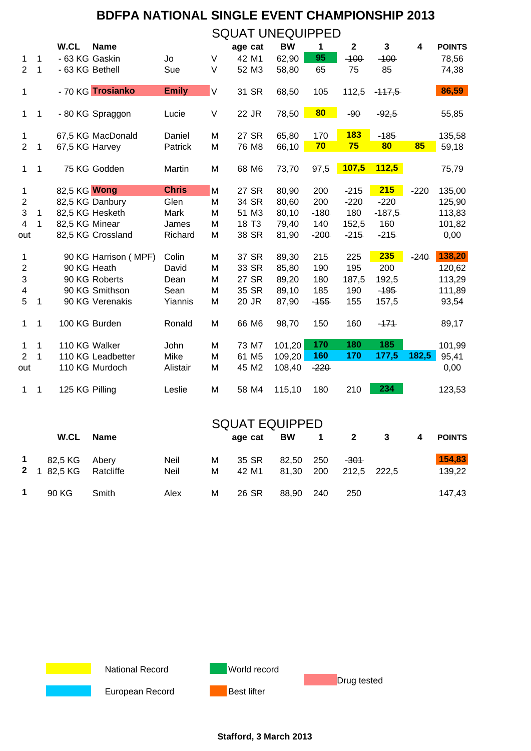| $\mathbf{1}$<br>2<br>$\mathbf{1}$ | 1<br>1       | W.CL<br>- 63 KG Gaskin<br>- 63 KG Bethell | <b>Name</b>          | Jo           |             | age cat           | <b>BW</b> | 1      | $\mathbf 2$ | 3        | 4      | <b>POINTS</b> |
|-----------------------------------|--------------|-------------------------------------------|----------------------|--------------|-------------|-------------------|-----------|--------|-------------|----------|--------|---------------|
|                                   |              |                                           |                      |              |             |                   |           |        |             |          |        |               |
|                                   |              |                                           |                      |              | $\vee$      | 42 M1             | 62,90     | 95     | $-100$      | $-100$   |        | 78,56         |
|                                   |              |                                           |                      | Sue          | V           | 52 M3             | 58,80     | 65     | 75          | 85       |        | 74,38         |
|                                   |              |                                           | - 70 KG Trosianko    | <b>Emily</b> | $\mathsf V$ | 31 SR             | 68,50     | 105    | 112,5       | $-117,5$ |        | 86,59         |
| $\mathbf{1}$                      | $\mathbf 1$  |                                           | - 80 KG Spraggon     | Lucie        | V           | 22 JR             | 78,50     | 80     | $-90$       | $-92,5$  |        | 55,85         |
| $\mathbf{1}$                      |              |                                           | 67,5 KG MacDonald    | Daniel       | M           | 27 SR             | 65,80     | 170    | <b>183</b>  | $-185$   |        | 135,58        |
| $\overline{2}$                    | 1            | 67,5 KG Harvey                            |                      | Patrick      | M           | 76 M8             | 66,10     | 70     | 75          | 80       | 85     | 59,18         |
| $\mathbf{1}$                      | 1            |                                           | 75 KG Godden         | Martin       | M           | 68 M6             | 73,70     | 97,5   | 107,5       | 112,5    |        | 75,79         |
| $\mathbf{1}$                      |              | 82,5 KG Wong                              |                      | <b>Chris</b> | M           | 27 SR             | 80,90     | 200    | $-215$      | 215      | $-220$ | 135,00        |
| $\boldsymbol{2}$                  |              |                                           | 82,5 KG Danbury      | Glen         | M           | 34 SR             | 80,60     | 200    | $-220$      | $-220$   |        | 125,90        |
| $\sqrt{3}$                        | $\mathbf{1}$ |                                           | 82,5 KG Hesketh      | Mark         | M           | 51 M3             | 80,10     | $-180$ | 180         | $-187,5$ |        | 113,83        |
| 4                                 | 1            | 82,5 KG Minear                            |                      | James        | M           | 18 T <sub>3</sub> | 79,40     | 140    | 152,5       | 160      |        | 101,82        |
| out                               |              |                                           | 82,5 KG Crossland    | Richard      | M           | 38 SR             | 81,90     | $-200$ | $-215$      | $-215$   |        | 0,00          |
| $\mathbf 1$                       |              |                                           | 90 KG Harrison (MPF) | Colin        | M           | 37 SR             | 89,30     | 215    | 225         | 235      | $-240$ | 138,20        |
| $\overline{c}$                    |              | 90 KG Heath                               |                      | David        | M           | 33 SR             | 85,80     | 190    | 195         | 200      |        | 120,62        |
| $\ensuremath{\mathsf{3}}$         |              |                                           | 90 KG Roberts        | Dean         | M           | 27 SR             | 89,20     | 180    | 187,5       | 192,5    |        | 113,29        |
| 4                                 |              |                                           | 90 KG Smithson       | Sean         | M           | 35 SR             | 89,10     | 185    | 190         | $-195$   |        | 111,89        |
| 5                                 | 1            |                                           | 90 KG Verenakis      | Yiannis      | M           | 20 JR             | 87,90     | $-155$ | 155         | 157,5    |        | 93,54         |
| $\mathbf{1}$                      | $\mathbf 1$  | 100 KG Burden                             |                      | Ronald       | M           | 66 M6             | 98,70     | 150    | 160         | $-171$   |        | 89,17         |
| 1                                 | 1            | 110 KG Walker                             |                      | John         | M           | 73 M7             | 101,20    | 170    | 180         | 185      |        | 101,99        |
| $\overline{2}$                    | 1            |                                           | 110 KG Leadbetter    | Mike         | M           | 61 M <sub>5</sub> | 109,20    | 160    | 170         | 177,5    | 182,5  | 95,41         |
| out                               |              |                                           | 110 KG Murdoch       | Alistair     | M           | 45 M2             | 108,40    | $-220$ |             |          |        | 0,00          |
| $\mathbf{1}$                      | $\mathbf 1$  | 125 KG Pilling                            |                      | Leslie       | M           | 58 M4             | 115,10    | 180    | 210         | 234      |        | 123,53        |

|             | <b>W.CL</b>                            | <b>Name</b> |              |        | age cat        | <b>SQUAT EQUIPPED</b><br><b>BW</b><br>$\mathbf 1$ |                | 2                     | 3<br>4 |  | <b>POINTS</b>    |  |
|-------------|----------------------------------------|-------------|--------------|--------|----------------|---------------------------------------------------|----------------|-----------------------|--------|--|------------------|--|
| $\mathbf 1$ | 82,5 KG Abery<br>2 1 82,5 KG Ratcliffe |             | Neil<br>Neil | M<br>M | 35 SR<br>42 M1 | 82.50<br>81.30                                    | - 250<br>- 200 | $-301$<br>212.5 222.5 |        |  | 154,83<br>139,22 |  |
|             | 90 KG                                  | Smith       | Alex         | M      | 26 SR          | 88.90                                             | -240           | 250                   |        |  | 147.43           |  |



**Stafford, 3 March 2013**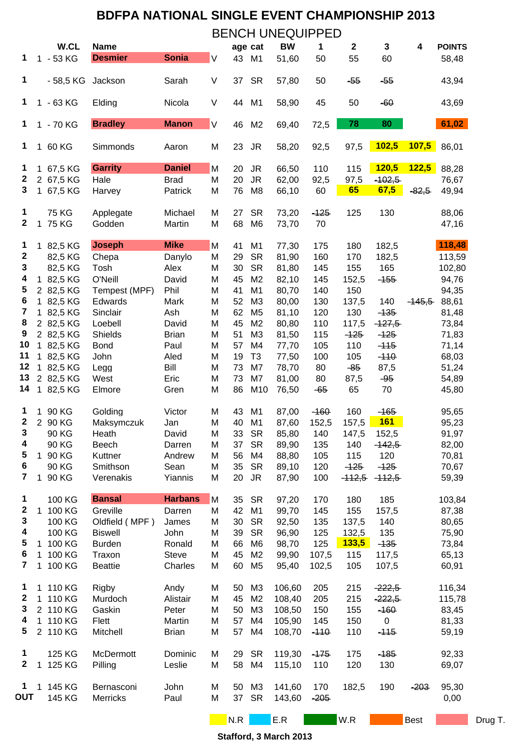|                         |              | W.CL                   | <b>Name</b>                     |                  |         | age cat  |                                  | BW               | 1          | $\boldsymbol{2}$ | 3                    | 4           | <b>POINTS</b>    |         |
|-------------------------|--------------|------------------------|---------------------------------|------------------|---------|----------|----------------------------------|------------------|------------|------------------|----------------------|-------------|------------------|---------|
| 1                       |              | 1 - 53 KG              | <b>Desmier</b>                  | <b>Sonia</b>     | $\sf V$ | 43       | M1                               | 51,60            | 50         | 55               | 60                   |             | 58,48            |         |
| 1                       |              | - 58,5 KG              | Jackson                         | Sarah            | V       | 37       | <b>SR</b>                        | 57,80            | 50         | $-55$            | $-55$                |             | 43,94            |         |
| 1                       |              | 1 - 63 KG              | Elding                          | Nicola           | V       | 44       | M1                               | 58,90            | 45         | 50               | $-60$                |             | 43,69            |         |
| 1                       |              | 1 - 70 KG              | <b>Bradley</b>                  | <b>Manon</b>     | $\sf V$ | 46       | M <sub>2</sub>                   | 69,40            | 72,5       | 78               | 80                   |             | 61,02            |         |
| 1                       |              | 1 60 KG                | Simmonds                        | Aaron            | M       | 23       | JR                               | 58,20            | 92,5       | 97,5             | 102,5                | 107,5       | 86,01            |         |
| 1                       |              | 1 67,5 KG              | <b>Garrity</b>                  | <b>Daniel</b>    | M       | 20       | <b>JR</b>                        | 66,50            | 110        | 115              | 120,5                | 122,5       | 88,28            |         |
| $\boldsymbol{2}$        |              | 2 67,5 KG              | Hale                            | <b>Brad</b>      | M       | 20       | <b>JR</b>                        | 62,00            | 92,5       | 97,5             | $-102,5$             |             | 76,67            |         |
| 3                       |              | 1 67,5 KG              | Harvey                          | Patrick          | M       | 76       | M <sub>8</sub>                   | 66,10            | 60         | 65               | 67,5                 | $-82,5$     | 49,94            |         |
| 1                       |              | <b>75 KG</b>           | Applegate                       | Michael          | M       | 27       | <b>SR</b>                        | 73,20            | $-125$     | 125              | 130                  |             | 88,06            |         |
| $\mathbf 2$             | 1            | 75 KG                  | Godden                          | Martin           | M       | 68       | M <sub>6</sub>                   | 73,70            | 70         |                  |                      |             | 47,16            |         |
| 1                       |              | 1 82,5 KG              | <b>Joseph</b>                   | <b>Mike</b>      | M       | 41       | M <sub>1</sub>                   | 77,30            | 175        | 180              | 182,5                |             | 118,48           |         |
| $\boldsymbol{2}$        |              | 82,5 KG                | Chepa                           | Danylo           | M       | 29       | <b>SR</b>                        | 81,90            | 160        | 170              | 182,5                |             | 113,59           |         |
| 3                       |              | 82,5 KG                | Tosh                            | Alex             | M       | 30       | <b>SR</b>                        | 81,80            | 145        | 155              | 165                  |             | 102,80           |         |
| 4                       |              | 1 82,5 KG              | O'Neill                         | David            | M       | 45       | M <sub>2</sub>                   | 82,10            | 145        | 152,5            | $-155$               |             | 94,76            |         |
| 5                       |              | 2 82,5 KG              | Tempest (MPF)                   | Phil             | M       | 41       | M1                               | 80,70            | 140        | 150              |                      |             | 94,35            |         |
| 6<br>7                  |              | 1 82,5 KG              | Edwards                         | Mark             | M       | 52       | M <sub>3</sub>                   | 80,00            | 130        | 137,5            | 140                  | $-145,5$    | 88,61            |         |
| 8                       |              | 1 82,5 KG              | Sinclair                        | Ash<br>David     | M       | 62<br>45 | M <sub>5</sub><br>M <sub>2</sub> | 81,10            | 120        | 130<br>117,5     | $-135$               |             | 81,48            |         |
| 9                       |              | 2 82,5 KG<br>2 82,5 KG | Loebell<br><b>Shields</b>       | <b>Brian</b>     | M<br>M  | 51       | M <sub>3</sub>                   | 80,80<br>81,50   | 110<br>115 | $-125$           | $-127,5$<br>$-125$   |             | 73,84<br>71,83   |         |
| 10                      |              | 1 82,5 KG              | <b>Bond</b>                     | Paul             | M       | 57       | M4                               | 77,70            | 105        | 110              | $-115$               |             | 71,14            |         |
| 11                      |              | 1 82,5 KG              | John                            | Aled             | M       | 19       | T <sub>3</sub>                   | 77,50            | 100        | 105              | $-110$               |             | 68,03            |         |
| 12                      |              | 1 82,5 KG              | Legg                            | Bill             | M       | 73       | M7                               | 78,70            | 80         | $-85$            | 87,5                 |             | 51,24            |         |
| 13                      |              | 2 82,5 KG              | West                            | Eric             | M       | 73       | M7                               | 81,00            | 80         | 87,5             | $-95$                |             | 54,89            |         |
| 14                      |              | 1 82,5 KG              | Elmore                          | Gren             | M       | 86       | M10                              | 76,50            | $-65$      | 65               | 70                   |             | 45,80            |         |
| 1                       |              | 1 90 KG                | Golding                         | Victor           | M       | 43       | M <sub>1</sub>                   | 87,00            | $-160$     | 160              | $-165$               |             | 95,65            |         |
| 2                       |              | 2 90 KG                | Maksymczuk                      | Jan              | M       | 40       | M <sub>1</sub>                   | 87,60            | 152,5      | 157,5            | <b>161</b>           |             | 95,23            |         |
| 3                       |              | 90 KG                  | Heath                           | David            | M       | 33       | <b>SR</b>                        | 85,80            | 140        | 147,5            | 152,5                |             | 91,97            |         |
| 4                       |              | 90 KG                  | Beech                           | Darren           | M       | 37       | <b>SR</b>                        | 89,90            | 135        | 140              | $-142,5$             |             | 82,00            |         |
| 5                       |              | 1 90 KG                | Kuttner                         | Andrew           | M       | 56       | M4                               | 88,80            | 105        | 115              | 120                  |             | 70,81            |         |
| 6                       |              | 90 KG                  | Smithson                        | Sean             | M       | 35       | <b>SR</b>                        | 89,10            | 120        | $-125$           | $-125$               |             | 70,67            |         |
| 7                       | $\mathbf 1$  | 90 KG                  | Verenakis                       | Yiannis          | M       | 20       | <b>JR</b>                        | 87,90            | 100        | $-112,5$         | $-112,5$             |             | 59,39            |         |
| 1                       |              | 100 KG                 | <b>Bansal</b>                   | <b>Harbans</b>   | M       | 35       | <b>SR</b>                        | 97,20            | 170        | 180              | 185                  |             | 103,84           |         |
| 2                       | $\mathbf{1}$ | 100 KG                 | Greville                        | Darren           | M       | 42       | M <sub>1</sub>                   | 99,70            | 145        | 155              | 157,5                |             | 87,38            |         |
| ${\bf 3}$               |              | 100 KG                 | Oldfield (MPF)                  | James            | M       | 30       | <b>SR</b>                        | 92,50            | 135        | 137,5            | 140                  |             | 80,65            |         |
| 4<br>5                  |              | 100 KG<br>1 100 KG     | <b>Biswell</b><br><b>Burden</b> | John<br>Ronald   | M<br>M  | 39<br>66 | <b>SR</b><br>M <sub>6</sub>      | 96,90<br>98,70   | 125<br>125 | 132,5<br>133,5   | 135<br>$-135$        |             | 75,90<br>73,84   |         |
| 6                       |              | 1 100 KG               | Traxon                          | <b>Steve</b>     | M       | 45       | M <sub>2</sub>                   | 99,90            | 107,5      | 115              | 117,5                |             | 65,13            |         |
| $\overline{\mathbf{7}}$ |              | 1 100 KG               | <b>Beattie</b>                  | Charles          | M       | 60       | M <sub>5</sub>                   | 95,40            | 102,5      | 105              | 107,5                |             | 60,91            |         |
|                         |              |                        |                                 |                  |         |          |                                  |                  |            |                  |                      |             |                  |         |
| 1<br>$\mathbf 2$        |              | 1 110 KG<br>1 110 KG   | Rigby<br>Murdoch                | Andy<br>Alistair | M<br>M  | 50<br>45 | M <sub>3</sub><br>M <sub>2</sub> | 106,60<br>108,40 | 205<br>205 | 215<br>215       | $-222,5$<br>$-222,5$ |             | 116,34<br>115,78 |         |
| 3                       |              | 2 110 KG               | Gaskin                          | Peter            | M       | 50       | M <sub>3</sub>                   | 108,50           | 150        | 155              | $-160$               |             | 83,45            |         |
| 4                       |              | 1 110 KG               | Flett                           | Martin           | M       | 57       | M4                               | 105,90           | 145        | 150              | $\pmb{0}$            |             | 81,33            |         |
| 5                       |              | 2 110 KG               | Mitchell                        | <b>Brian</b>     | M       | 57       | M4                               | 108,70           | $-110$     | 110              | $-115$               |             | 59,19            |         |
| 1                       |              | 125 KG                 | McDermott                       | Dominic          | М       | 29       | <b>SR</b>                        | 119,30           | $-175$     | 175              | $-185$               |             | 92,33            |         |
| $\boldsymbol{2}$        | $\mathbf{1}$ | 125 KG                 | Pilling                         | Leslie           | M       | 58       | M4                               | 115,10           | 110        | 120              | 130                  |             | 69,07            |         |
| 1                       |              | 1 145 KG               | Bernasconi                      | John             | M       | 50       | M <sub>3</sub>                   | 141,60           | 170        | 182,5            | 190                  | $-203$      | 95,30            |         |
| <b>OUT</b>              |              | 145 KG                 | Merricks                        | Paul             | M       | 37       | <b>SR</b>                        | 143,60           | $-205$     |                  |                      |             | 0,00             |         |
|                         |              |                        |                                 |                  |         | N.R      |                                  | E.R              |            | W.R              |                      | <b>Best</b> |                  | Drug T. |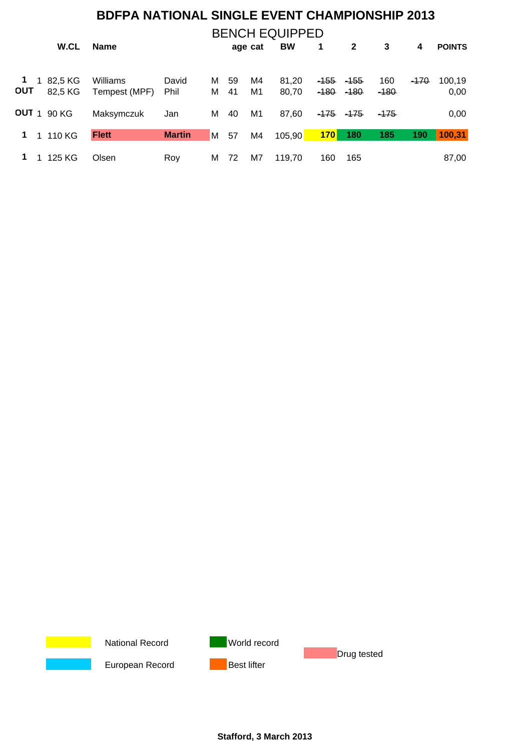|            | <b>BENCH EQUIPPED</b> |                    |               |               |   |         |    |        |                 |              |        |                 |               |
|------------|-----------------------|--------------------|---------------|---------------|---|---------|----|--------|-----------------|--------------|--------|-----------------|---------------|
|            | W.CL                  |                    | <b>Name</b>   |               |   | age cat |    | BW     | 1               | $\mathbf{2}$ | 3      | 4               | <b>POINTS</b> |
|            |                       |                    |               |               |   |         |    |        |                 |              |        |                 |               |
| 1          |                       | 82,5 KG            | Williams      | David         | м | 59      | M4 | 81,20  | <del>-155</del> | -155         | 160    | <del>-170</del> | 100,19        |
| <b>OUT</b> |                       | 82,5 KG            | Tempest (MPF) | Phil          | м | 41      | M1 | 80,70  | $-180$          | $-180$       | $-180$ |                 | 0,00          |
|            |                       | <b>OUT</b> 1 90 KG | Maksymczuk    | Jan           | м | 40      | M1 | 87,60  | <del>-175</del> | -175         | -175   |                 | 0,00          |
| 1          |                       | 1 110 KG           | <b>Flett</b>  | <b>Martin</b> | M | 57      | M4 | 105,90 | 170             | 180          | 185    | 190             | 100,31        |
|            |                       | 125 KG             | Olsen         | Rov           | м | 72      | M7 | 119.70 | 160             | 165          |        |                 | 87,00         |



**Stafford, 3 March 2013**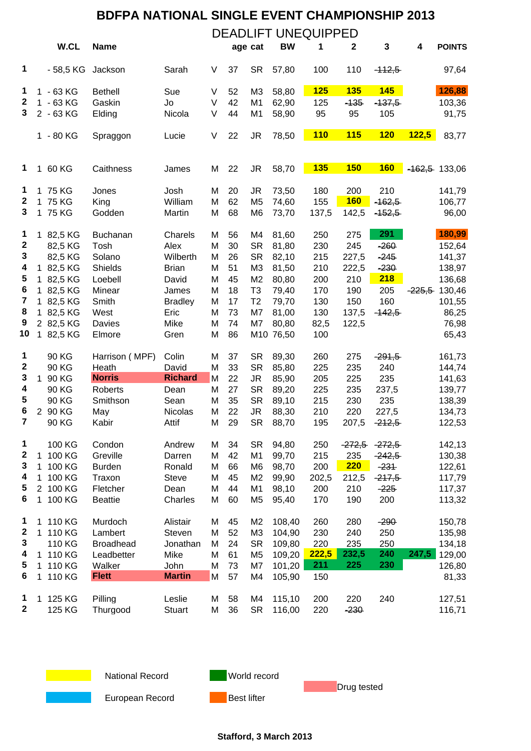|                         |              |                        |                  |                  |        | <b>BDFPA NATIONAL SINGLE EVENT CHAMPIONSHIP 2013</b> |                 |                |            |              |                   |          |                  |  |
|-------------------------|--------------|------------------------|------------------|------------------|--------|------------------------------------------------------|-----------------|----------------|------------|--------------|-------------------|----------|------------------|--|
|                         |              |                        |                  |                  |        | <b>DEADLIFT UNEQUIPPED</b>                           |                 |                |            |              |                   |          |                  |  |
|                         |              | W.CL                   | <b>Name</b>      |                  |        |                                                      | age cat         | <b>BW</b>      | 1          | $\mathbf 2$  | $\mathbf{3}$      | 4        | <b>POINTS</b>    |  |
| 1                       |              | $-58,5$ KG             | Jackson          | Sarah            | V      | 37                                                   | <b>SR</b>       | 57,80          | 100        | 110          | $-112,5$          |          | 97,64            |  |
| 1                       |              | 1 - 63 KG              | <b>Bethell</b>   | Sue              | V      | 52                                                   | M <sub>3</sub>  | 58,80          | 125        | <b>135</b>   | <b>145</b>        |          | 126,88           |  |
| $\boldsymbol{2}$        |              | 1 - 63 KG              | Gaskin           | Jo               | $\vee$ | 42                                                   | M <sub>1</sub>  | 62,90          | 125        | $-135$       | $-137,5$          |          | 103,36           |  |
| 3                       |              | 2 - 63 KG              | Elding           | Nicola           | $\vee$ | 44                                                   | M <sub>1</sub>  | 58,90          | 95         | 95           | 105               |          | 91,75            |  |
|                         |              | 1 - 80 KG              | Spraggon         | Lucie            | V      | 22                                                   | JR              | 78,50          | <b>110</b> | <b>115</b>   | 120               | 122,5    | 83,77            |  |
| 1                       |              | 1 60 KG                | Caithness        | James            | M      | 22                                                   | JR              | 58,70          | <b>135</b> | <b>150</b>   | <b>160</b>        |          | $-162,5$ 133,06  |  |
| 1                       |              | 1 75 KG                | Jones            | Josh             | M      | 20                                                   | JR              | 73,50          | 180        | 200          | 210               |          | 141,79           |  |
| $\boldsymbol{2}$        |              | 1 75 KG                | King             | William          | M      | 62                                                   | M <sub>5</sub>  | 74,60          | 155        | <b>160</b>   | $-162,5$          |          | 106,77           |  |
| 3                       |              | 1 75 KG                | Godden           | Martin           | M      | 68                                                   | M <sub>6</sub>  | 73,70          | 137,5      | 142,5        | $-152,5$          |          | 96,00            |  |
| 1                       |              | 1 82,5 KG              | Buchanan         | Charels          | M      | 56                                                   | M4              | 81,60          | 250        | 275          | 291               |          | 180,99           |  |
| $\mathbf 2$             |              | 82,5 KG                | Tosh             | Alex             | M      | 30                                                   | <b>SR</b>       | 81,80          | 230        | 245          | $-260$            |          | 152,64           |  |
| 3                       |              | 82,5 KG                | Solano           | Wilberth         | M      | 26                                                   | <b>SR</b>       | 82,10          | 215        | 227,5        | $-245$            |          | 141,37           |  |
| 4                       |              | 1 82,5 KG              | Shields          | <b>Brian</b>     | M      | 51                                                   | M <sub>3</sub>  | 81,50          | 210        | 222,5        | $-230$            |          | 138,97           |  |
| 5                       |              | 1 82,5 KG              | Loebell          | David            | M      | 45                                                   | M <sub>2</sub>  | 80,80          | 200        | 210          | <b>218</b>        |          | 136,68           |  |
| 6                       |              | 1 82,5 KG              | Minear           | James            | M      | 18                                                   | T <sub>3</sub>  | 79,40          | 170        | 190          | 205               | $-225,5$ | 130,46           |  |
| $\overline{\mathbf{7}}$ |              | 1 82,5 KG              | Smith            | <b>Bradley</b>   | M      | 17                                                   | T <sub>2</sub>  | 79,70          | 130        | 150          | 160               |          | 101,55           |  |
| 8                       |              | 1 82,5 KG              | West             | Eric             | M      | 73                                                   | M7              | 81,00          | 130        | 137,5        | $-142,5$          |          | 86,25            |  |
| 9<br>10                 |              | 2 82,5 KG<br>1 82,5 KG | Davies           | Mike             | M      | 74<br>86                                             | M7              | 80,80          | 82,5       | 122,5        |                   |          | 76,98            |  |
|                         |              |                        | Elmore           | Gren             | M      |                                                      |                 | M10 76,50      | 100        |              |                   |          | 65,43            |  |
| 1                       |              | 90 KG                  | Harrison (MPF)   | Colin            | M      | 37                                                   | <b>SR</b>       | 89,30          | 260        | 275          | $-291,5$          |          | 161,73           |  |
| $\mathbf 2$             |              | 90 KG                  | Heath            | David            | M      | 33                                                   | <b>SR</b>       | 85,80          | 225        | 235          | 240               |          | 144,74           |  |
| 3                       |              | 1 90 KG                | <b>Norris</b>    | <b>Richard</b>   | M      | 22                                                   | JR              | 85,90          | 205        | 225          | 235               |          | 141,63           |  |
| 4<br>5                  |              | 90 KG                  | <b>Roberts</b>   | Dean             | M      | 27                                                   | <b>SR</b>       | 89,20          | 225        | 235          | 237,5             |          | 139,77           |  |
|                         |              | 90 KG                  | Smithson         | Sean             | M      | 35                                                   | <b>SR</b>       | 89,10          | 215        | 230          | 235               |          | 138,39           |  |
| 6<br>7                  |              | 2 90 KG<br>90 KG       | May<br>Kabir     | Nicolas<br>Attif | M<br>M | 22<br>29                                             | JR<br><b>SR</b> | 88,30<br>88,70 | 210<br>195 | 220<br>207,5 | 227,5<br>$-212,5$ |          | 134,73<br>122,53 |  |
| 1                       |              | 100 KG                 | Condon           | Andrew           | M      | 34                                                   | <b>SR</b>       | 94,80          | 250        | $-272,5$     | $-272,5$          |          | 142,13           |  |
| $\boldsymbol{2}$        |              | 1 100 KG               | Greville         | Darren           | M      | 42                                                   | M <sub>1</sub>  | 99,70          | 215        | 235          | $-242,5$          |          | 130,38           |  |
| 3                       | $\mathbf{1}$ | 100 KG                 | <b>Burden</b>    | Ronald           | M      | 66                                                   | M <sub>6</sub>  | 98,70          | 200        | 220          | $-231$            |          | 122,61           |  |
| 4                       |              | 1 100 KG               | Traxon           | Steve            | M      | 45                                                   | M <sub>2</sub>  | 99,90          | 202,5      | 212,5        | $-217,5$          |          | 117,79           |  |
| 5                       |              | 2 100 KG               | Fletcher         | Dean             | M      | 44                                                   | M <sub>1</sub>  | 98,10          | 200        | 210          | $-225$            |          | 117,37           |  |
| 6                       |              | 1 100 KG               | <b>Beattie</b>   | Charles          | M      | 60                                                   | M <sub>5</sub>  | 95,40          | 170        | 190          | 200               |          | 113,32           |  |
| 1                       |              | 1 110 KG               | Murdoch          | Alistair         | M      | 45                                                   | M <sub>2</sub>  | 108,40         | 260        | 280          | $-290$            |          | 150,78           |  |
| $\boldsymbol{2}$        |              | 1 110 KG               | Lambert          | Steven           | M      | 52                                                   | M <sub>3</sub>  | 104,90         | 230        | 240          | 250               |          | 135,98           |  |
| 3                       |              | 110 KG                 | <b>Broadhead</b> | Jonathan         | M      | 24                                                   | <b>SR</b>       | 109,80         | 220        | 235          | 250               |          | 134,18           |  |
| 4                       |              | 1 110 KG               | Leadbetter       | Mike             | M      | 61                                                   | M <sub>5</sub>  | 109,20         | 222,5      | 232,5        | 240               | 247,5    | 129,00           |  |
| 5                       |              | 1 110 KG               | Walker           | John             | M      | 73                                                   | M7              | 101,20         | 211        | 225          | 230               |          | 126,80           |  |
| 6                       | $\mathbf 1$  | 110 KG                 | <b>Flett</b>     | <b>Martin</b>    | M      | 57                                                   | M4              | 105,90         | 150        |              |                   |          | 81,33            |  |
| 1                       |              | 1 125 KG               | Pilling          | Leslie           | M      | 58                                                   | M4              | 115,10         | 200        | 220          | 240               |          | 127,51           |  |
| $\mathbf 2$             |              | 125 KG                 | Thurgood         | <b>Stuart</b>    | M      | 36                                                   | <b>SR</b>       | 116,00         | 220        | $-230$       |                   |          | 116,71           |  |



National Record **World record** 

**Drug tested** 

European Record **Best lifter**